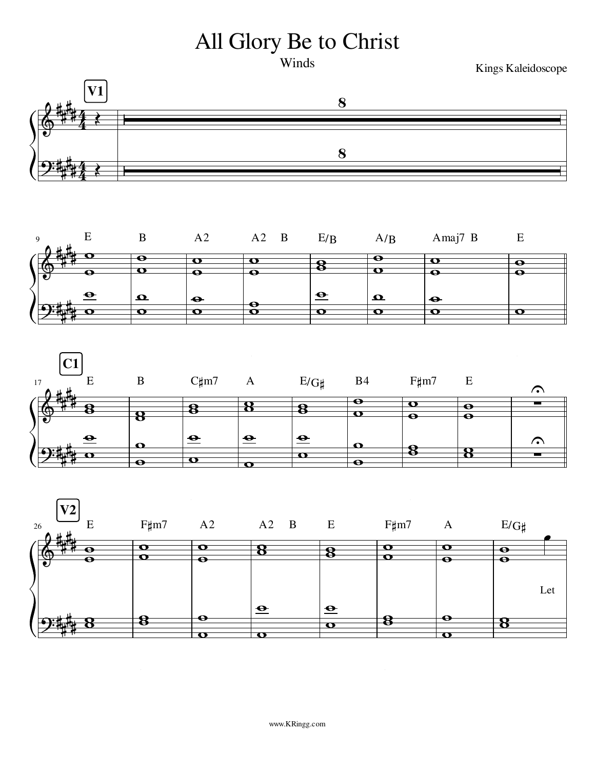## All Glory Be to Christ

Winds

Kings Kaleidoscope







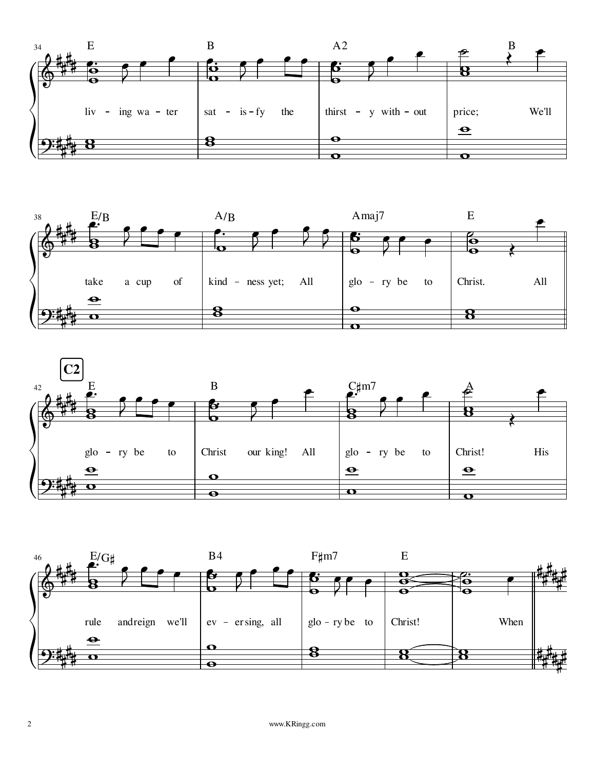